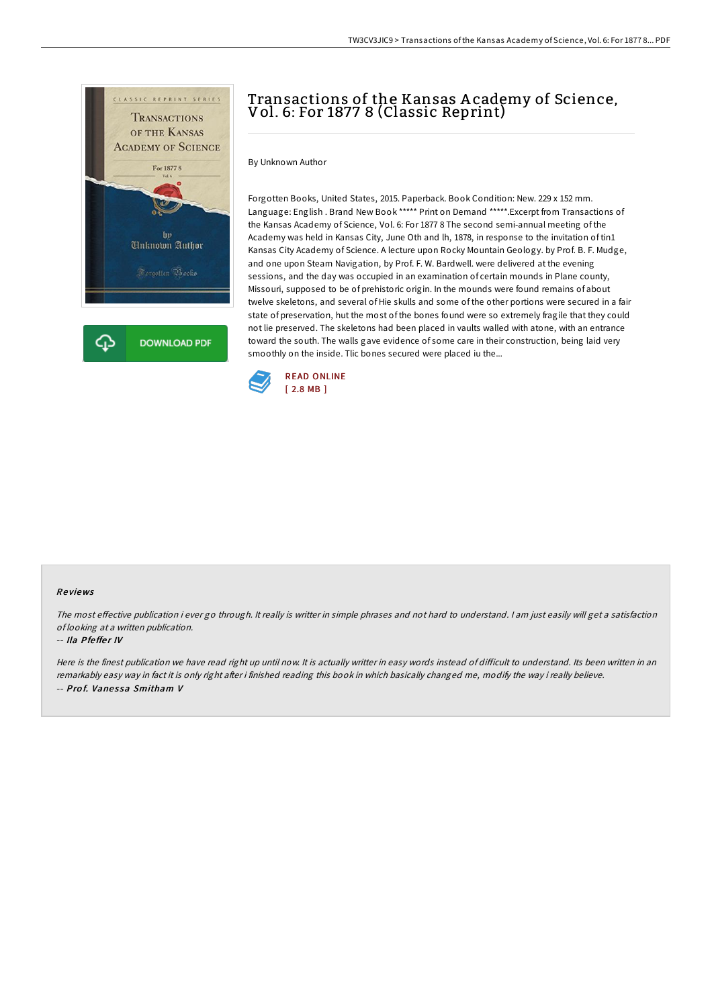

# Transactions of the Kansas A cademy of Science, Vol. 6: For 1877 8 (Classic Reprint)

By Unknown Author

Forgotten Books, United States, 2015. Paperback. Book Condition: New. 229 x 152 mm. Language: English . Brand New Book \*\*\*\*\* Print on Demand \*\*\*\*\*.Excerpt from Transactions of the Kansas Academy of Science, Vol. 6: For 1877 8 The second semi-annual meeting of the Academy was held in Kansas City, June Oth and lh, 1878, in response to the invitation of tin1 Kansas City Academy of Science. A lecture upon Rocky Mountain Geology. by Prof. B. F. Mudge, and one upon Steam Navigation, by Prof. F. W. Bardwell. were delivered at the evening sessions, and the day was occupied in an examination of certain mounds in Plane county, Missouri, supposed to be of prehistoric origin. In the mounds were found remains of about twelve skeletons, and several of Hie skulls and some of the other portions were secured in a fair state of preservation, hut the most of the bones found were so extremely fragile that they could not lie preserved. The skeletons had been placed in vaults walled with atone, with an entrance toward the south. The walls gave evidence of some care in their construction, being laid very smoothly on the inside. Tlic bones secured were placed iu the...



#### Re views

The most effective publication i ever go through. It really is writter in simple phrases and not hard to understand. I am just easily will get a satisfaction of looking at <sup>a</sup> written publication.

#### -- Ila Pfeffer IV

Here is the finest publication we have read right up until now. It is actually writter in easy words instead of difficult to understand. Its been written in an remarkably easy way in fact it is only right after i finished reading this book in which basically changed me, modify the way i really believe. -- Prof. Vanessa Smitham V